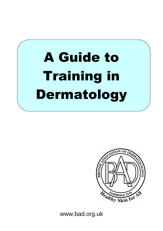# A Guide to Training in Dermatology



www.bad.org.uk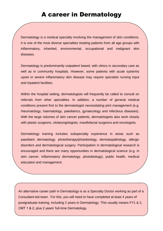Dermatology is a medical specialty involving the management of skin conditions. It is one of the most diverse specialties treating patients from all age groups with inflammatory, inherited, environmental, occupational and malignant skin diseases.

Dermatology is predominantly outpatient based, with clinics in secondary care as well as in community hospitals. However, some patients with acute systemic upset or severe inflammatory skin disease may require specialist nursing input and inpatient facilities.

Within the hospital setting, dermatologists will frequently be called to consult on referrals from other specialties. In addition, a number of general medical conditions present first to the dermatologist necessitating joint management (e.g. rheumatology, haematology, paediatrics, gynaecology and infectious diseases). With the large volumes of skin cancer patients, dermatologists also work closely with plastic surgeons, otolaryngologists, maxillofacial surgeons and oncologists.

Dermatology training includes subspecialty experience in areas such as paediatric dermatology, phototherapy/photobiology, dermatopathology, allergic disorders and dermatological surgery. Participation in dermatological research is encouraged and there are many opportunities in dermatological science (e.g. in skin cancer, inflammatory dermatology, photobiology), public health, medical education and management.

An alternative career path in Dermatology is as a Specialty Doctor working as part of a Consultant-led team. For this, you will need to have completed at least 4 years of postgraduate training, including 2 years in Dermatology. This usually means FY1 & 2, CMT 1 & 2, plus 2 years' full-time Dermatology.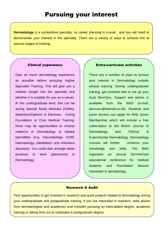**Dermatology** is a competitive specialty, so career planning is crucial and you will need to demonstrate your interest in the specialty. There are a variety of ways to achieve this at various stages of training.

#### Clinical experience

Gain as much dermatology experience as possible before pursuing Higher Specialist Training. This will give you a realistic insight into the specialty and whether it is suitable for you as a career. At the undergraduate level, this can be during Special Study Modules (SSMs), Selectives/Options & Electives. During Foundation or Core Medical Training, there may be opportunities to choose rotations in Dermatology or related specialties (e.g. rheumatology, GUM, haematology, paediatrics and infectious diseases). You could also arrange taster sessions or work placements in Dermatology.

#### Extra-curricular activities

There are a number of ways to pursue your interest in Dermatology outside clinical training. During undergraduate training, get involved with or set up your local DermSoc. Support and advice is available from the BAD (e-mail: [dermsoc@hotmail.co.uk\)](mailto:dermsoc@hotmail.co.uk). Students and junior doctors can apply for BAD Junior Membership which will include a free subscription to the British Journal of Dermatology and Clinical & Experimental Dermatology. Dermatology courses will further enhance your knowledge and skills. The BAD organises an annual DermSchool educational conference for medical students and Foundation doctors interested in dermatology.

#### Research & Audit

Find opportunities to get involved in research and audit projects related to dermatology during your undergraduate and postgraduate training. If you are interested in research, seek advice from dermatologists and academics and consider pursuing an intercalated degree, academic training or taking time out to undertake a postgraduate degree.